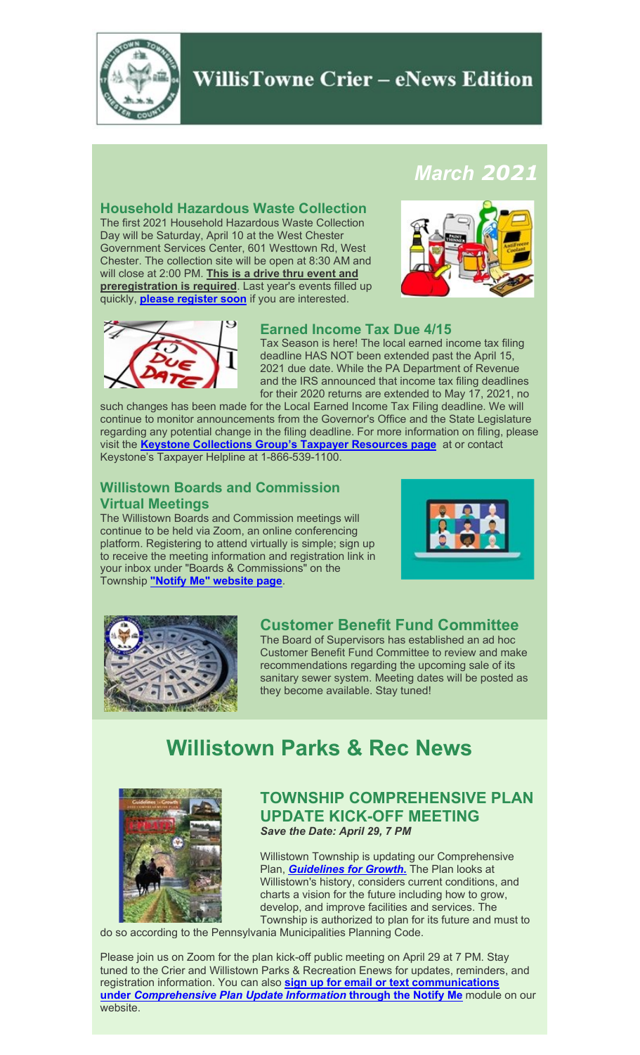

# **WillisTowne Crier - eNews Edition**

## *March 2021*

#### **Household Hazardous Waste Collection**

The first 2021 Household Hazardous Waste Collection Day will be Saturday, April 10 at the West Chester Government Services Center, 601 Westtown Rd, West Chester. The collection site will be open at 8:30 AM and will close at 2:00 PM. **This is a drive thru event and preregistration is required**. Last year's events filled up quickly, **[please register soon](https://secure.rec1.com/PA/chester-county-swa-pa/catalog)** if you are interested.





#### **Earned Income Tax Due 4/15**

Tax Season is here! The local earned income tax filing deadline HAS NOT been extended past the April 15, 2021 due date. While the PA Department of Revenue and the IRS announced that income tax filing deadlines for their 2020 returns are extended to May 17, 2021, no

such changes has been made for the Local Earned Income Tax Filing deadline. We will continue to monitor announcements from the Governor's Office and the State Legislature regarding any potential change in the filing deadline. For more information on filing, please visit the **[Keystone Collections Group's Taxpayer Resources page](https://www.keystonecollects.com/page/taxpayer)** at or contact Keystone's Taxpayer Helpline at 1-866-539-1100.

## **Willistown Boards and Commission Virtual Meetings**

The Willistown Boards and Commission meetings will continue to be held via Zoom, an online conferencing platform. Registering to attend virtually is simple; sign up to receive the meeting information and registration link in your inbox under "Boards & Commissions" on the Township **"Notify Me" [website page](https://www.willistown.pa.us/list.aspx)**.





### **Customer Benefit Fund Committee**

The Board of Supervisors has established an ad hoc Customer Benefit Fund Committee to review and make recommendations regarding the upcoming sale of its sanitary sewer system. Meeting dates will be posted as they become available. Stay tuned!

# **Willistown Parks & Rec News**



### **TOWNSHIP COMPREHENSIVE PLAN UPDATE KICK-OFF MEETING** *Save the Date: April 29, 7 PM*

Willistown Township is updating our Comprehensive Plan, *[Guidelines for Growth](https://www.willistown.pa.us/DocumentCenter/View/16/Guidelines-for-Growth?bidId=)***.** The Plan looks at Willistown's history, considers current conditions, and charts a vision for the future including how to grow, develop, and improve facilities and services. The Township is authorized to plan for its future and must to

do so according to the Pennsylvania Municipalities Planning Code.

Please join us on Zoom for the plan kick-off public meeting on April 29 at 7 PM. Stay tuned to the Crier and Willistown Parks & Recreation Enews for updates, reminders, and registration information. You can also **[sign up for email or text communications](https://www.willistown.pa.us/list.aspx)  under** *[Comprehensive Plan Update Information](https://www.willistown.pa.us/list.aspx)* **through the Notify Me** module on our website.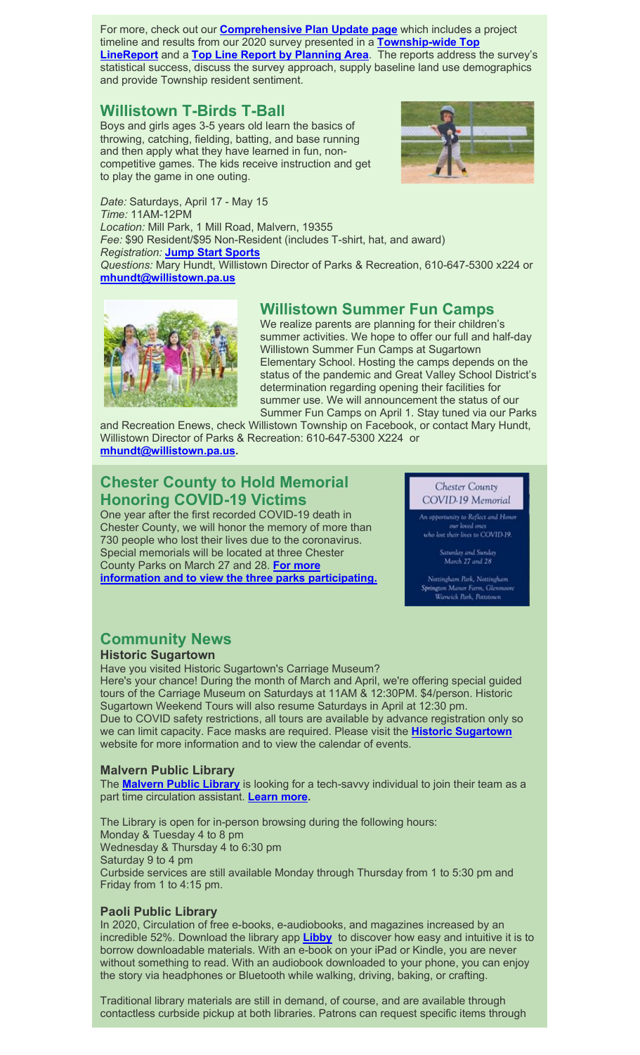For more, check out our **[Comprehensive Plan Update page](https://www.willistown.pa.us/317/Comprehensive-Plan-Update)** which includes a project timeline and results from our 2020 survey presented in a **[Township-wide Top](https://www.willistown.pa.us/DocumentCenter/View/1668/FINAL-Top-Line-Presentation-Power-Point-PDF)  [LineReport](https://www.willistown.pa.us/DocumentCenter/View/1668/FINAL-Top-Line-Presentation-Power-Point-PDF)** and a **[Top Line Report by Planning Area](https://www.willistown.pa.us/DocumentCenter/View/1696/2020-Comp-Plan-Survey-Top-Line-Report-by-Planning-Area-FINAL-1-19-2021)**. The reports address the survey's statistical success, discuss the survey approach, supply baseline land use demographics and provide Township resident sentiment.

## **Willistown T-Birds T-Ball**

Boys and girls ages 3-5 years old learn the basics of throwing, catching, fielding, batting, and base running and then apply what they have learned in fun, noncompetitive games. The kids receive instruction and get to play the game in one outing.



*Date:* Saturdays, April 17 - May 15 *Time:* 11AM-12PM *Location:* Mill Park, 1 Mill Road, Malvern, 19355 *Fee:* \$90 Resident/\$95 Non-Resident (includes T-shirt, hat, and award) *Registration:* **[Jump Start Sports](https://jumpstartphilly.leagueapps.com/leagues/baseball_softball_tball/2097373-willistown-t-birds-t-ball-spring-2021)** *Questions:* Mary Hundt, Willistown Director of Parks & Recreation, 610-647-5300 x224 or **[mhundt@willistown.pa.us](mailto:mhundt@willistown.pa.us)**



## **Willistown Summer Fun Camps**

We realize parents are planning for their children's summer activities. We hope to offer our full and half-day Willistown Summer Fun Camps at Sugartown Elementary School. Hosting the camps depends on the status of the pandemic and Great Valley School District's determination regarding opening their facilities for summer use. We will announcement the status of our Summer Fun Camps on April 1. Stay tuned via our Parks

and Recreation Enews, check Willistown Township on Facebook, or contact Mary Hundt, Willistown Director of Parks & Recreation: 610-647-5300 X224 or **[mhundt@willistown.pa.us.](mailto:mhundt@willistown.pa.us)**

## **Chester County to Hold Memorial Honoring COVID-19 Victims**

One year after the first recorded COVID-19 death in Chester County, we will honor the memory of more than 730 people who lost their lives due to the coronavirus. Special memorials will be located at three Chester County Parks on March 27 and 28. **[For more](https://www.chesco.org/DocumentCenter/View/62486/covid-memorial-pdf)  information and to [view the three parks participating.](https://www.chesco.org/DocumentCenter/View/62486/covid-memorial-pdf)**

#### **Chester County** COVID-19 Memorial

In opportunity to Reflect and Honor

our loved ones<br>o lost their lives to COVID-19.

atunday and Sunday<br>March 27 and 28

.<br>Nottingham Park, Nottingham<br>rington Manor Farm, Glenmoo wick Park, Pottste

## **Community News**

**Historic Sugartown**

Have you visited Historic Sugartown's Carriage Museum? Here's your chance! During the month of March and April, we're offering special guided tours of the Carriage Museum on Saturdays at 11AM & 12:30PM. \$4/person. Historic Sugartown Weekend Tours will also resume Saturdays in April at 12:30 pm. Due to COVID safety restrictions, all tours are available by advance registration only so we can limit capacity. Face masks are required. Please visit the **[Historic Sugartown](https://historicsugartown.org/)** website for more information and to view the calendar of events.

#### **Malvern Public Library**

The **[Malvern Public Library](http://www.malvern-library.org/)** is looking for a tech-savvy individual to join their team as a part time circulation assistant. **[Learn more.](https://www.ccls.org/DocumentCenter/View/1353/Circulation-Assistant---Malvern-Library-)**

The Library is open for in-person browsing during the following hours: Monday & Tuesday 4 to 8 pm Wednesday & Thursday 4 to 6:30 pm Saturday 9 to 4 pm Curbside services are still available Monday through Thursday from 1 to 5:30 pm and Friday from 1 to 4:15 pm.

#### **Paoli Public Library**

In 2020, Circulation of free e-books, e-audiobooks, and magazines increased by an incredible 52%. Download the library app **[Libby](https://www.ccls.org/305/eMaterials)** to discover how easy and intuitive it is to borrow downloadable materials. With an e-book on your iPad or Kindle, you are never without something to read. With an audiobook downloaded to your phone, you can enjoy the story via headphones or Bluetooth while walking, driving, baking, or crafting.

Traditional library materials are still in demand, of course, and are available through contactless curbside pickup at both libraries. Patrons can request specific items through